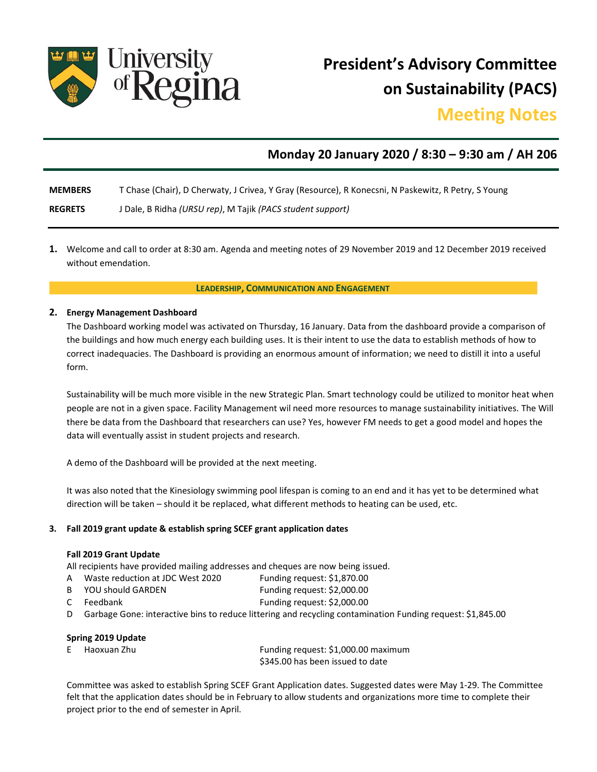

**President's Advisory Committee on Sustainability (PACS)** 

# **Meeting Notes**

# **Monday 20 January 2020 / 8:30 – 9:30 am / AH 206**

**MEMBERS** T Chase (Chair), D Cherwaty, J Crivea, Y Gray (Resource), R Konecsni, N Paskewitz, R Petry, S Young

**REGRETS** J Dale, B Ridha *(URSU rep)*, M Tajik *(PACS student support)* 

**1.** Welcome and call to order at 8:30 am. Agenda and meeting notes of 29 November 2019 and 12 December 2019 received without emendation.

### **LEADERSHIP, COMMUNICATION AND ENGAGEMENT**

### **2. Energy Management Dashboard**

The Dashboard working model was activated on Thursday, 16 January. Data from the dashboard provide a comparison of the buildings and how much energy each building uses. It is their intent to use the data to establish methods of how to correct inadequacies. The Dashboard is providing an enormous amount of information; we need to distill it into a useful form.

Sustainability will be much more visible in the new Strategic Plan. Smart technology could be utilized to monitor heat when people are not in a given space. Facility Management wil need more resources to manage sustainability initiatives. The Will there be data from the Dashboard that researchers can use? Yes, however FM needs to get a good model and hopes the data will eventually assist in student projects and research.

A demo of the Dashboard will be provided at the next meeting.

It was also noted that the Kinesiology swimming pool lifespan is coming to an end and it has yet to be determined what direction will be taken – should it be replaced, what different methods to heating can be used, etc.

### **3. Fall 2019 grant update & establish spring SCEF grant application dates**

### **Fall 2019 Grant Update**

All recipients have provided mailing addresses and cheques are now being issued.

- A Waste reduction at JDC West 2020 Funding request: \$1,870.00
- B YOU should GARDEN Funding request: \$2,000.00
- C Feedbank **Funding request:** \$2,000.00
- D Garbage Gone: interactive bins to reduce littering and recycling contamination Funding request: \$1,845.00

### **Spring 2019 Update**

| E Haoxuan Zhu | Funding request: \$1,000.00 maximum |
|---------------|-------------------------------------|
|               | \$345.00 has been issued to date    |

Committee was asked to establish Spring SCEF Grant Application dates. Suggested dates were May 1-29. The Committee felt that the application dates should be in February to allow students and organizations more time to complete their project prior to the end of semester in April.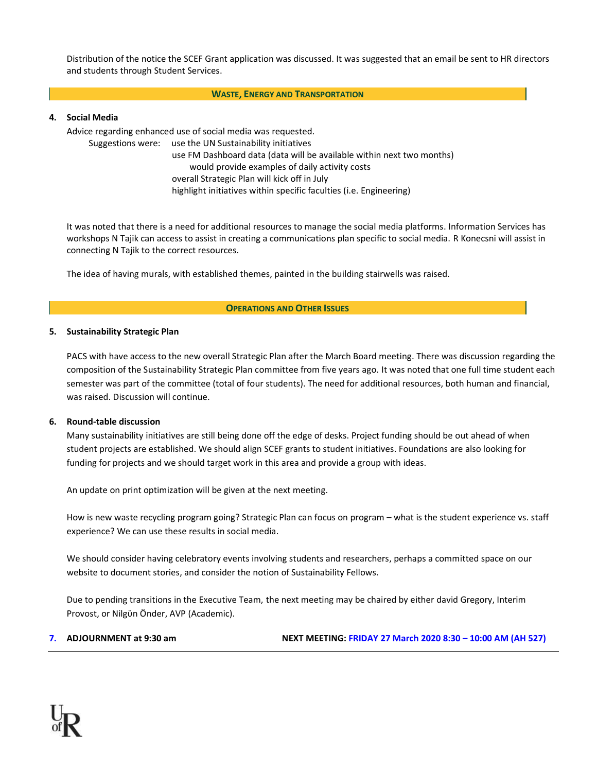Distribution of the notice the SCEF Grant application was discussed. It was suggested that an email be sent to HR directors and students through Student Services.

### **WASTE, ENERGY AND TRANSPORTATION**

### **4. Social Media**

Advice regarding enhanced use of social media was requested.

Suggestions were: use the UN Sustainability initiatives

use FM Dashboard data (data will be available within next two months) would provide examples of daily activity costs overall Strategic Plan will kick off in July highlight initiatives within specific faculties (i.e. Engineering)

It was noted that there is a need for additional resources to manage the social media platforms. Information Services has workshops N Tajik can access to assist in creating a communications plan specific to social media. R Konecsni will assist in connecting N Tajik to the correct resources.

The idea of having murals, with established themes, painted in the building stairwells was raised.

#### **OPERATIONS AND OTHER ISSUES**

#### **5. Sustainability Strategic Plan**

PACS with have access to the new overall Strategic Plan after the March Board meeting. There was discussion regarding the composition of the Sustainability Strategic Plan committee from five years ago. It was noted that one full time student each semester was part of the committee (total of four students). The need for additional resources, both human and financial, was raised. Discussion will continue.

#### **6. Round-table discussion**

Many sustainability initiatives are still being done off the edge of desks. Project funding should be out ahead of when student projects are established. We should align SCEF grants to student initiatives. Foundations are also looking for funding for projects and we should target work in this area and provide a group with ideas.

An update on print optimization will be given at the next meeting.

How is new waste recycling program going? Strategic Plan can focus on program – what is the student experience vs. staff experience? We can use these results in social media.

We should consider having celebratory events involving students and researchers, perhaps a committed space on our website to document stories, and consider the notion of Sustainability Fellows.

Due to pending transitions in the Executive Team, the next meeting may be chaired by either david Gregory, Interim Provost, or Nilgϋn Önder, AVP (Academic).

**7. ADJOURNMENT at 9:30 am NEXT MEETING: FRIDAY 27 March 2020 8:30 – 10:00 AM (AH 527)**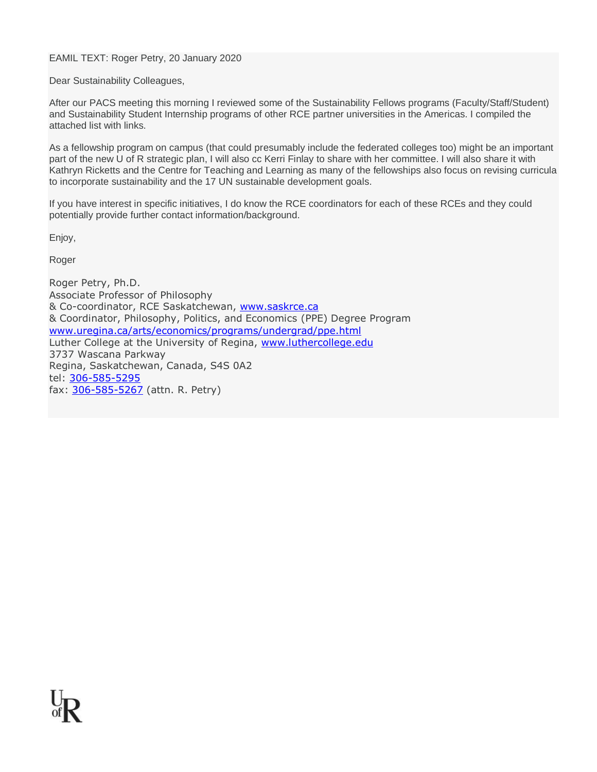EAMIL TEXT: Roger Petry, 20 January 2020

Dear Sustainability Colleagues,

After our PACS meeting this morning I reviewed some of the Sustainability Fellows programs (Faculty/Staff/Student) and Sustainability Student Internship programs of other RCE partner universities in the Americas. I compiled the attached list with links.

As a fellowship program on campus (that could presumably include the federated colleges too) might be an important part of the new U of R strategic plan, I will also cc Kerri Finlay to share with her committee. I will also share it with Kathryn Ricketts and the Centre for Teaching and Learning as many of the fellowships also focus on revising curricula to incorporate sustainability and the 17 UN sustainable development goals.

If you have interest in specific initiatives, I do know the RCE coordinators for each of these RCEs and they could potentially provide further contact information/background.

Enjoy,

Roger

Roger Petry, Ph.D. Associate Professor of Philosophy & Co-coordinator, RCE Saskatchewan, [www.saskrce.ca](http://www.saskrce.ca/) & Coordinator, Philosophy, Politics, and Economics (PPE) Degree Program [www.uregina.ca/arts/economics/programs/undergrad/ppe.html](http://www.uregina.ca/arts/economics/programs/undergrad/ppe.html) Luther College at the University of Regina, [www.luthercollege.edu](http://www.luthercollege.edu/) 3737 Wascana Parkway Regina, Saskatchewan, Canada, S4S 0A2 tel: [306-585-5295](tel:3065855295) fax: [306-585-5267](tel:3065855267) (attn. R. Petry)